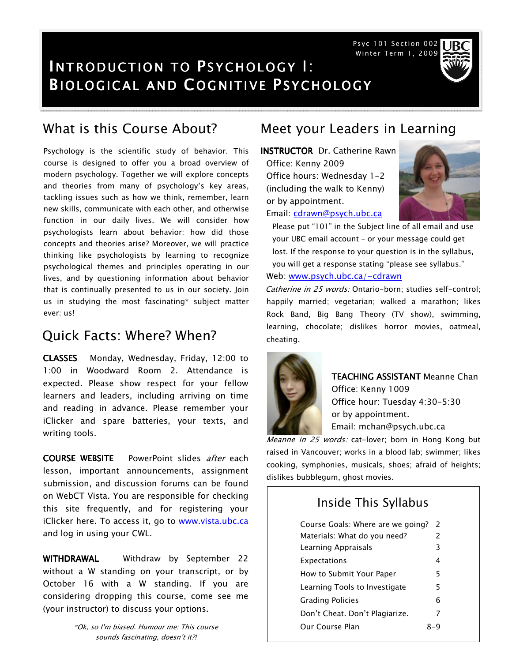Psyc 101 Section 002 Winter Term 1, 2009

# INTRODUCTION TO PSYCHOLOGY I: **BIOLOGICAL AND COGNITIVE PSYCHOLOGY**

Psychology is the scientific study of behavior. This course is designed to offer you a broad overview of modern psychology. Together we will explore concepts and theories from many of psychology's key areas, tackling issues such as how we think, remember, learn new skills, communicate with each other, and otherwise function in our daily lives. We will consider how psychologists learn about behavior: how did those concepts and theories arise? Moreover, we will practice thinking like psychologists by learning to recognize psychological themes and principles operating in our lives, and by questioning information about behavior that is continually presented to us in our society. Join us in studying the most fascinating\* subject matter ever: us!

## Quick Facts: Where? When?

CLASSES Monday, Wednesday, Friday, 12:00 to 1:00 in Woodward Room 2. Attendance is expected. Please show respect for your fellow learners and leaders, including arriving on time and reading in advance. Please remember your iClicker and spare batteries, your texts, and writing tools.

**COURSE WEBSITE** PowerPoint slides after each lesson, important announcements, assignment submission, and discussion forums can be found on WebCT Vista. You are responsible for checking this site frequently, and for registering your iClicker here. To access it, go to www.vista.ubc.ca and log in using your CWL.

WITHDRAWAL Withdraw by September 22 without a W standing on your transcript, or by October 16 with a W standing. If you are considering dropping this course, come see me (your instructor) to discuss your options.

> \*Ok, so I'm biased. Humour me: This course sounds fascinating, doesn't it?!

## What is this Course About? Meet your Leaders in Learning

INSTRUCTOR Dr. Catherine Rawn Office: Kenny 2009 Office hours: Wednesday 1-2 (including the walk to Kenny) or by appointment.



Email: cdrawn@psych.ubc.ca

Please put "101" in the Subject line of all email and use your UBC email account – or your message could get lost. If the response to your question is in the syllabus, you will get a response stating "please see syllabus." Web: www.psych.ubc.ca/~cdrawn

Catherine in 25 words: Ontario-born; studies self-control; happily married; vegetarian; walked a marathon; likes Rock Band, Big Bang Theory (TV show), swimming, learning, chocolate; dislikes horror movies, oatmeal, cheating.



TEACHING ASSISTANT Meanne Chan Office: Kenny 1009 Office hour: Tuesday 4:30-5:30 or by appointment. Email: mchan@psych.ubc.ca

Meanne in 25 words: cat-lover; born in Hong Kong but raised in Vancouver; works in a blood lab; swimmer; likes cooking, symphonies, musicals, shoes; afraid of heights; dislikes bubblegum, ghost movies.

#### Inside This Syllabus

| Course Goals: Where are we going? | $\mathcal{L}$ |
|-----------------------------------|---------------|
| Materials: What do you need?      | $\mathcal{P}$ |
| Learning Appraisals               | 3             |
| Expectations                      | 4             |
| How to Submit Your Paper          | 5             |
| Learning Tools to Investigate     | 5             |
| <b>Grading Policies</b>           | 6             |
| Don't Cheat. Don't Plagiarize.    | 7             |
| Our Course Plan                   |               |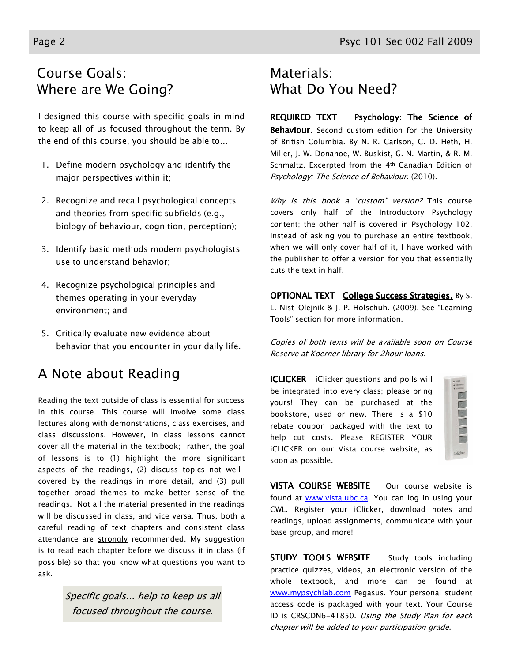# Course Goals: Where are We Going?

I designed this course with specific goals in mind to keep all of us focused throughout the term. By the end of this course, you should be able to...

- 1. Define modern psychology and identify the major perspectives within it;
- 2. Recognize and recall psychological concepts and theories from specific subfields (e.g., biology of behaviour, cognition, perception);
- 3. Identify basic methods modern psychologists use to understand behavior;
- 4. Recognize psychological principles and themes operating in your everyday environment; and
- 5. Critically evaluate new evidence about behavior that you encounter in your daily life.

# A Note about Reading

Reading the text outside of class is essential for success in this course. This course will involve some class lectures along with demonstrations, class exercises, and class discussions. However, in class lessons cannot cover all the material in the textbook; rather, the goal of lessons is to (1) highlight the more significant aspects of the readings, (2) discuss topics not wellcovered by the readings in more detail, and (3) pull together broad themes to make better sense of the readings. Not all the material presented in the readings will be discussed in class, and vice versa. Thus, both a careful reading of text chapters and consistent class attendance are strongly recommended. My suggestion is to read each chapter before we discuss it in class (if possible) so that you know what questions you want to ask.

> Specific goals... help to keep us all focused throughout the course.

# Materials: What Do You Need?

#### REQUIRED TEXT Psychology: The Science of Behaviour. Second custom edition for the University of British Columbia. By N. R. Carlson, C. D. Heth, H. Miller, J. W. Donahoe, W. Buskist, G. N. Martin, & R. M. Schmaltz. Excerpted from the 4th Canadian Edition of Psychology: The Science of Behaviour. (2010).

Why is this book a "custom" version? This course covers only half of the Introductory Psychology content; the other half is covered in Psychology 102. Instead of asking you to purchase an entire textbook, when we will only cover half of it, I have worked with the publisher to offer a version for you that essentially cuts the text in half.

**OPTIONAL TEXT** College Success Strategies. By S. L. Nist-Olejnik & J. P. Holschuh. (2009). See "Learning Tools" section for more information.

Copies of both texts will be available soon on Course Reserve at Koerner library for 2hour loans.

**iCLICKER** iClicker questions and polls will be integrated into every class; please bring yours! They can be purchased at the bookstore, used or new. There is a \$10 rebate coupon packaged with the text to help cut costs. Please REGISTER YOUR iCLICKER on our Vista course website, as soon as possible.

| idicke |
|--------|

VISTA COURSE WEBSITE Our course website is found at www.vista.ubc.ca. You can log in using your CWL. Register your iClicker, download notes and readings, upload assignments, communicate with your base group, and more!

STUDY TOOLS WEBSITE Study tools including practice quizzes, videos, an electronic version of the whole textbook, and more can be found at www.mypsychlab.com Pegasus. Your personal student access code is packaged with your text. Your Course ID is CRSCDN6-41850. Using the Study Plan for each chapter will be added to your participation grade.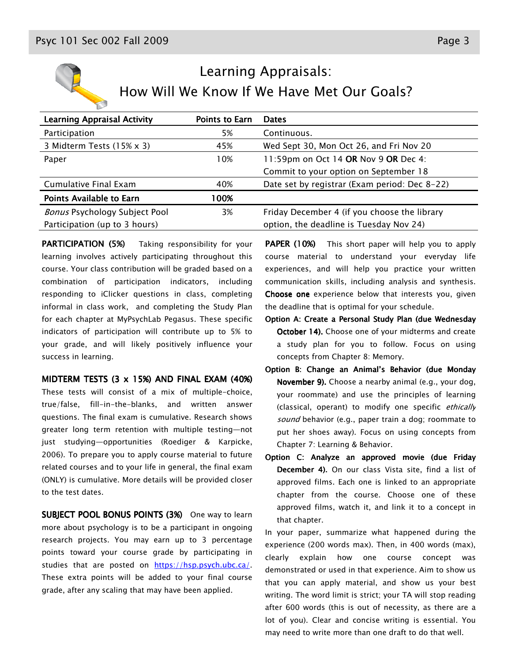

# Learning Appraisals: How Will We Know If We Have Met Our Goals?

| <b>Learning Appraisal Activity</b>   | <b>Points to Earn</b> | <b>Dates</b>                                  |
|--------------------------------------|-----------------------|-----------------------------------------------|
| Participation                        | 5%                    | Continuous.                                   |
| 3 Midterm Tests (15% x 3)            | 45%                   | Wed Sept 30, Mon Oct 26, and Fri Nov 20       |
| Paper                                | 10%                   | 11:59pm on Oct 14 OR Nov 9 OR Dec 4:          |
|                                      |                       | Commit to your option on September 18         |
| Cumulative Final Exam                | 40%                   | Date set by registrar (Exam period: Dec 8-22) |
| <b>Points Available to Earn</b>      | 00%                   |                                               |
| <b>Bonus Psychology Subject Pool</b> | 3%                    | Friday December 4 (if you choose the library  |
| Participation (up to 3 hours)        |                       | option, the deadline is Tuesday Nov 24)       |

PARTICIPATION (5%) Taking responsibility for your learning involves actively participating throughout this course. Your class contribution will be graded based on a combination of participation indicators, including responding to iClicker questions in class, completing informal in class work, and completing the Study Plan for each chapter at MyPsychLab Pegasus. These specific indicators of participation will contribute up to 5% to your grade, and will likely positively influence your success in learning.

MIDTERM TESTS  $(3 \times 15\%)$  and final EXAM  $(40\%)$ 

These tests will consist of a mix of multiple-choice, true/false, fill-in-the-blanks, and written answer questions. The final exam is cumulative. Research shows greater long term retention with multiple testing—not just studying—opportunities (Roediger & Karpicke, 2006). To prepare you to apply course material to future related courses and to your life in general, the final exam (ONLY) is cumulative. More details will be provided closer to the test dates.

SUBJECT POOL BONUS POINTS (3%) One way to learn more about psychology is to be a participant in ongoing research projects. You may earn up to 3 percentage points toward your course grade by participating in studies that are posted on https://hsp.psych.ubc.ca/. These extra points will be added to your final course grade, after any scaling that may have been applied.

**PAPER (10%)** This short paper will help you to apply course material to understand your everyday life experiences, and will help you practice your written communication skills, including analysis and synthesis. Choose one experience below that interests you, given the deadline that is optimal for your schedule.

- Option A: Create a Personal Study Plan (due Wednesday October 14). Choose one of your midterms and create a study plan for you to follow. Focus on using concepts from Chapter 8: Memory.
- Option B: Change an Animal's Behavior (due Monday November 9). Choose a nearby animal (e.g., your dog, your roommate) and use the principles of learning (classical, operant) to modify one specific ethically sound behavior (e.g., paper train a dog; roommate to put her shoes away). Focus on using concepts from Chapter 7: Learning & Behavior.
- Option C: Analyze an approved movie (due Friday December 4). On our class Vista site, find a list of approved films. Each one is linked to an appropriate chapter from the course. Choose one of these approved films, watch it, and link it to a concept in that chapter.

In your paper, summarize what happened during the experience (200 words max). Then, in 400 words (max), clearly explain how one course concept was demonstrated or used in that experience. Aim to show us that you can apply material, and show us your best writing. The word limit is strict; your TA will stop reading after 600 words (this is out of necessity, as there are a lot of you). Clear and concise writing is essential. You may need to write more than one draft to do that well.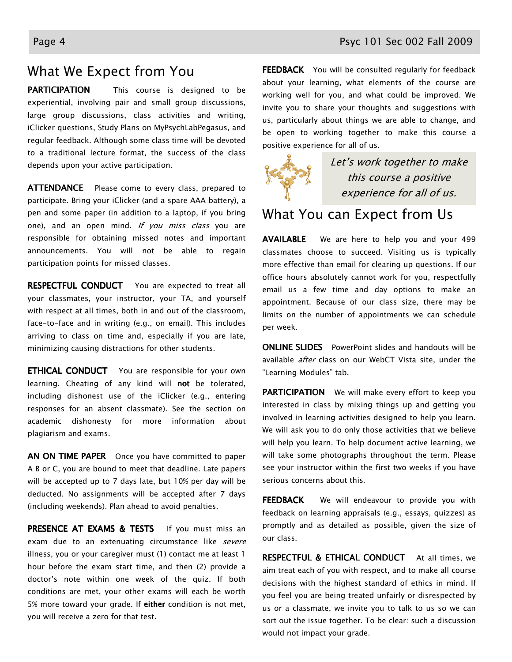### What We Expect from You

PARTICIPATION This course is designed to be experiential, involving pair and small group discussions, large group discussions, class activities and writing, iClicker questions, Study Plans on MyPsychLabPegasus, and regular feedback. Although some class time will be devoted to a traditional lecture format, the success of the class depends upon your active participation.

ATTENDANCE Please come to every class, prepared to participate. Bring your iClicker (and a spare AAA battery), a pen and some paper (in addition to a laptop, if you bring one), and an open mind. If you miss class you are responsible for obtaining missed notes and important announcements. You will not be able to regain participation points for missed classes.

RESPECTFUL CONDUCT You are expected to treat all your classmates, your instructor, your TA, and yourself with respect at all times, both in and out of the classroom, face-to-face and in writing (e.g., on email). This includes arriving to class on time and, especially if you are late, minimizing causing distractions for other students.

**ETHICAL CONDUCT** You are responsible for your own learning. Cheating of any kind will **not** be tolerated, including dishonest use of the iClicker (e.g., entering responses for an absent classmate). See the section on academic dishonesty for more information about plagiarism and exams.

AN ON TIME PAPER Once you have committed to paper A B or C, you are bound to meet that deadline. Late papers will be accepted up to 7 days late, but 10% per day will be deducted. No assignments will be accepted after 7 days (including weekends). Plan ahead to avoid penalties.

PRESENCE AT EXAMS & TESTS If you must miss an exam due to an extenuating circumstance like severe illness, you or your caregiver must (1) contact me at least 1 hour before the exam start time, and then (2) provide a doctor's note within one week of the quiz. If both conditions are met, your other exams will each be worth 5% more toward your grade. If either condition is not met, you will receive a zero for that test.

FEEDBACK You will be consulted regularly for feedback about your learning, what elements of the course are working well for you, and what could be improved. We invite you to share your thoughts and suggestions with us, particularly about things we are able to change, and be open to working together to make this course a positive experience for all of us.



Let's work together to make this course a positive experience for all of us.

#### What You can Expect from Us

AVAILABLE We are here to help you and your 499 classmates choose to succeed. Visiting us is typically more effective than email for clearing up questions. If our office hours absolutely cannot work for you, respectfully email us a few time and day options to make an appointment. Because of our class size, there may be limits on the number of appointments we can schedule per week.

**ONLINE SLIDES** PowerPoint slides and handouts will be available *after* class on our WebCT Vista site, under the "Learning Modules" tab.

PARTICIPATION We will make every effort to keep you interested in class by mixing things up and getting you involved in learning activities designed to help you learn. We will ask you to do only those activities that we believe will help you learn. To help document active learning, we will take some photographs throughout the term. Please see your instructor within the first two weeks if you have serious concerns about this.

FEEDBACK We will endeavour to provide you with feedback on learning appraisals (e.g., essays, quizzes) as promptly and as detailed as possible, given the size of our class.

RESPECTFUL & ETHICAL CONDUCT At all times, we aim treat each of you with respect, and to make all course decisions with the highest standard of ethics in mind. If you feel you are being treated unfairly or disrespected by us or a classmate, we invite you to talk to us so we can sort out the issue together. To be clear: such a discussion would not impact your grade.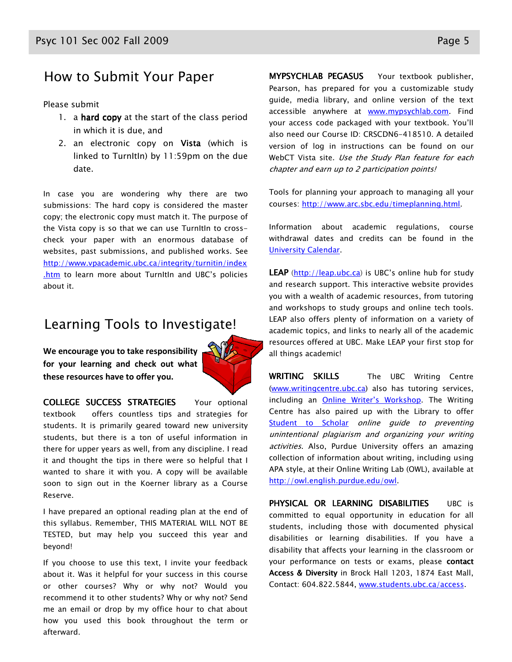## How to Submit Your Paper

#### Please submit

- 1. a hard copy at the start of the class period in which it is due, and
- 2. an electronic copy on Vista (which is linked to TurnItIn) by 11:59pm on the due date.

In case you are wondering why there are two submissions: The hard copy is considered the master copy; the electronic copy must match it. The purpose of the Vista copy is so that we can use TurnItIn to crosscheck your paper with an enormous database of websites, past submissions, and published works. See http://www.vpacademic.ubc.ca/integrity/turnitin/index .htm to learn more about TurnItIn and UBC's policies about it.

#### Learning Tools to Investigate!

We encourage you to take responsibility for your learning and check out what these resources have to offer you.



COLLEGE SUCCESS STRATEGIES Your optional

textbook offers countless tips and strategies for students. It is primarily geared toward new university students, but there is a ton of useful information in there for upper years as well, from any discipline. I read it and thought the tips in there were so helpful that I wanted to share it with you. A copy will be available soon to sign out in the Koerner library as a Course Reserve.

I have prepared an optional reading plan at the end of this syllabus. Remember, THIS MATERIAL WILL NOT BE TESTED, but may help you succeed this year and beyond!

If you choose to use this text, I invite your feedback about it. Was it helpful for your success in this course or other courses? Why or why not? Would you recommend it to other students? Why or why not? Send me an email or drop by my office hour to chat about how you used this book throughout the term or afterward.

MYPSYCHLAB PEGASUS Your textbook publisher, Pearson, has prepared for you a customizable study guide, media library, and online version of the text accessible anywhere at www.mypsychlab.com. Find your access code packaged with your textbook. You'll also need our Course ID: CRSCDN6-418510. A detailed version of log in instructions can be found on our WebCT Vista site. Use the Study Plan feature for each chapter and earn up to 2 participation points!

Tools for planning your approach to managing all your courses: http://www.arc.sbc.edu/timeplanning.html.

Information about academic regulations, course withdrawal dates and credits can be found in the University Calendar.

LEAP (http://leap.ubc.ca) is UBC's online hub for study and research support. This interactive website provides you with a wealth of academic resources, from tutoring and workshops to study groups and online tech tools. LEAP also offers plenty of information on a variety of academic topics, and links to nearly all of the academic resources offered at UBC. Make LEAP your first stop for all things academic!

WRITING SKILLS The UBC Writing Centre (www.writingcentre.ubc.ca) also has tutoring services, including an Online Writer's Workshop. The Writing Centre has also paired up with the Library to offer Student to Scholar online guide to preventing unintentional plagiarism and organizing your writing activities. Also, Purdue University offers an amazing collection of information about writing, including using APA style, at their Online Writing Lab (OWL), available at http://owl.english.purdue.edu/owl.

PHYSICAL OR LEARNING DISABILITIES UBC is committed to equal opportunity in education for all students, including those with documented physical disabilities or learning disabilities. If you have a disability that affects your learning in the classroom or your performance on tests or exams, please contact Access & Diversity in Brock Hall 1203, 1874 East Mall, Contact: 604.822.5844, www.students.ubc.ca/access.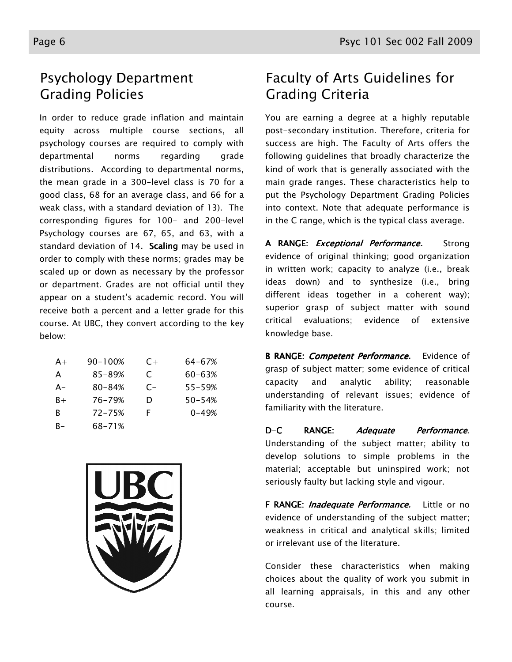# Psychology Department Grading Policies

In order to reduce grade inflation and maintain equity across multiple course sections, all psychology courses are required to comply with departmental norms regarding grade distributions. According to departmental norms, the mean grade in a 300-level class is 70 for a good class, 68 for an average class, and 66 for a weak class, with a standard deviation of 13). The corresponding figures for 100- and 200-level Psychology courses are 67, 65, and 63, with a standard deviation of 14. Scaling may be used in order to comply with these norms; grades may be scaled up or down as necessary by the professor or department. Grades are not official until they appear on a student's academic record. You will receive both a percent and a letter grade for this course. At UBC, they convert according to the key below:

| $A+$  | $90 - 100%$ | $C+$ | 64-67%     |
|-------|-------------|------|------------|
| A     | 85-89%      | C    | $60 - 63%$ |
| $A -$ | $80 - 84%$  | $C-$ | $55 - 59%$ |
| $B+$  | 76–79%      | D    | $50 - 54%$ |
| R     | $72 - 75%$  | F    | $0 - 49%$  |
| R-    | 68-71%      |      |            |



# Faculty of Arts Guidelines for Grading Criteria

You are earning a degree at a highly reputable post-secondary institution. Therefore, criteria for success are high. The Faculty of Arts offers the following guidelines that broadly characterize the kind of work that is generally associated with the main grade ranges. These characteristics help to put the Psychology Department Grading Policies into context. Note that adequate performance is in the C range, which is the typical class average.

A RANGE: *Exceptional Performance*. Strong evidence of original thinking; good organization in written work; capacity to analyze (i.e., break ideas down) and to synthesize (i.e., bring different ideas together in a coherent way); superior grasp of subject matter with sound critical evaluations; evidence of extensive knowledge base.

B RANGE: *Competent Performance*. Evidence of grasp of subject matter; some evidence of critical capacity and analytic ability; reasonable understanding of relevant issues; evidence of familiarity with the literature.

D-C RANGE: Adequate Performance. Understanding of the subject matter; ability to develop solutions to simple problems in the material; acceptable but uninspired work; not seriously faulty but lacking style and vigour.

F RANGE: *Inadequate Performance*. Little or no evidence of understanding of the subject matter; weakness in critical and analytical skills; limited or irrelevant use of the literature.

Consider these characteristics when making choices about the quality of work you submit in all learning appraisals, in this and any other course.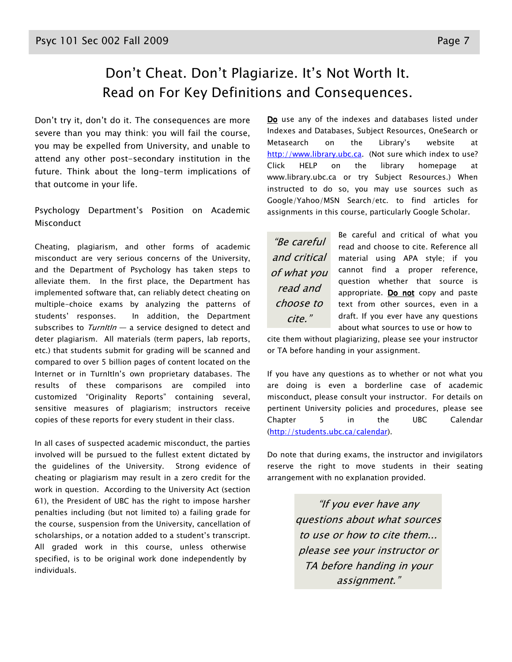# Don't Cheat. Don't Plagiarize. It's Not Worth It. Read on For Key Definitions and Consequences.

Don't try it, don't do it. The consequences are more severe than you may think: you will fail the course, you may be expelled from University, and unable to attend any other post-secondary institution in the future. Think about the long-term implications of that outcome in your life.

Psychology Department's Position on Academic Misconduct

Cheating, plagiarism, and other forms of academic misconduct are very serious concerns of the University, and the Department of Psychology has taken steps to alleviate them. In the first place, the Department has implemented software that, can reliably detect cheating on multiple-choice exams by analyzing the patterns of students' responses. In addition, the Department subscribes to  $Turnltln - a$  service designed to detect and deter plagiarism. All materials (term papers, lab reports, etc.) that students submit for grading will be scanned and compared to over 5 billion pages of content located on the Internet or in TurnItIn's own proprietary databases. The results of these comparisons are compiled into customized "Originality Reports" containing several, sensitive measures of plagiarism; instructors receive copies of these reports for every student in their class.

In all cases of suspected academic misconduct, the parties involved will be pursued to the fullest extent dictated by the guidelines of the University. Strong evidence of cheating or plagiarism may result in a zero credit for the work in question. According to the University Act (section 61), the President of UBC has the right to impose harsher penalties including (but not limited to) a failing grade for the course, suspension from the University, cancellation of scholarships, or a notation added to a student's transcript. All graded work in this course, unless otherwise specified, is to be original work done independently by individuals.

Do use any of the indexes and databases listed under Indexes and Databases, Subject Resources, OneSearch or Metasearch on the Library's website at http://www.library.ubc.ca. (Not sure which index to use? Click HELP on the library homepage at www.library.ubc.ca or try Subject Resources.) When instructed to do so, you may use sources such as Google/Yahoo/MSN Search/etc. to find articles for assignments in this course, particularly Google Scholar.

"Be careful and critical of what you read and choose to cite."

Be careful and critical of what you read and choose to cite. Reference all material using APA style; if you cannot find a proper reference, question whether that source is appropriate. Do not copy and paste text from other sources, even in a draft. If you ever have any questions about what sources to use or how to

cite them without plagiarizing, please see your instructor or TA before handing in your assignment.

If you have any questions as to whether or not what you are doing is even a borderline case of academic misconduct, please consult your instructor. For details on pertinent University policies and procedures, please see Chapter 5 in the UBC Calendar (http://students.ubc.ca/calendar).

Do note that during exams, the instructor and invigilators reserve the right to move students in their seating arrangement with no explanation provided.

> "If you ever have any questions about what sources to use or how to cite them... please see your instructor or TA before handing in your assignment."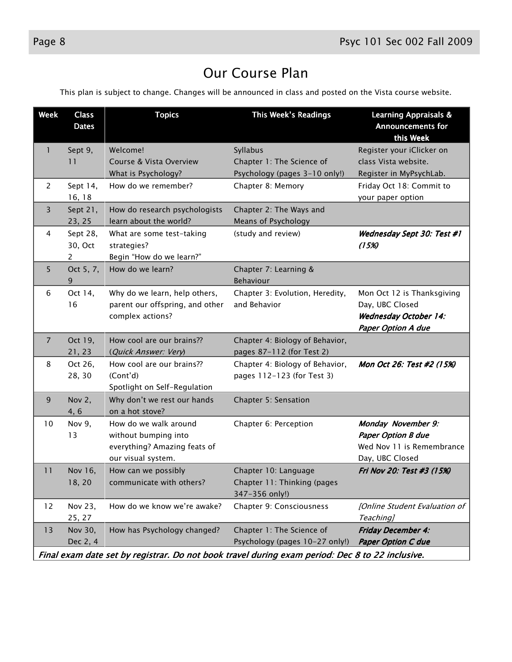# Our Course Plan

This plan is subject to change. Changes will be announced in class and posted on the Vista course website.

| <b>Week</b>    | <b>Class</b><br><b>Dates</b>          | <b>Topics</b>                                                                                       | This Week's Readings                                                                            | <b>Learning Appraisals &amp;</b><br><b>Announcements for</b><br>this Week                                  |
|----------------|---------------------------------------|-----------------------------------------------------------------------------------------------------|-------------------------------------------------------------------------------------------------|------------------------------------------------------------------------------------------------------------|
| 1              | Sept 9,<br>11                         | Welcome!<br>Course & Vista Overview                                                                 | Syllabus<br>Chapter 1: The Science of                                                           | Register your iClicker on<br>class Vista website.                                                          |
| $\overline{2}$ | Sept 14,<br>16, 18                    | What is Psychology?<br>How do we remember?                                                          | Psychology (pages 3-10 only!)<br>Chapter 8: Memory                                              | Register in MyPsychLab.<br>Friday Oct 18: Commit to<br>your paper option                                   |
| 3              | Sept 21,<br>23, 25                    | How do research psychologists<br>learn about the world?                                             | Chapter 2: The Ways and<br>Means of Psychology                                                  |                                                                                                            |
| 4              | Sept 28,<br>30, Oct<br>$\overline{2}$ | What are some test-taking<br>strategies?<br>Begin "How do we learn?"                                | (study and review)                                                                              | Wednesday Sept 30: Test #1<br>(15%)                                                                        |
| 5              | Oct 5, 7,<br>9                        | How do we learn?                                                                                    | Chapter 7: Learning &<br>Behaviour                                                              |                                                                                                            |
| 6              | Oct 14,<br>16                         | Why do we learn, help others,<br>parent our offspring, and other<br>complex actions?                | Chapter 3: Evolution, Heredity,<br>and Behavior                                                 | Mon Oct 12 is Thanksgiving<br>Day, UBC Closed<br><b>Wednesday October 14:</b><br><b>Paper Option A due</b> |
| $\overline{7}$ | Oct 19,<br>21, 23                     | How cool are our brains??<br>(Quick Answer: Very)                                                   | Chapter 4: Biology of Behavior,<br>pages 87-112 (for Test 2)                                    |                                                                                                            |
| 8              | Oct 26,<br>28, 30                     | How cool are our brains??<br>(Cont'd)<br>Spotlight on Self-Regulation                               | Chapter 4: Biology of Behavior,<br>pages 112-123 (for Test 3)                                   | Mon Oct 26: Test #2 (15%)                                                                                  |
| 9              | Nov 2,<br>4,6                         | Why don't we rest our hands<br>on a hot stove?                                                      | Chapter 5: Sensation                                                                            |                                                                                                            |
| 10             | Nov 9,<br>13                          | How do we walk around<br>without bumping into<br>everything? Amazing feats of<br>our visual system. | Chapter 6: Perception                                                                           | Monday November 9:<br><b>Paper Option B due</b><br>Wed Nov 11 is Remembrance<br>Day, UBC Closed            |
| 11             | Nov 16,<br>18, 20                     | How can we possibly<br>communicate with others?                                                     | Chapter 10: Language<br>Chapter 11: Thinking (pages<br>347-356 only!)                           | Fri Nov 20: Test #3 (15%)                                                                                  |
| 12             | Nov 23,<br>25, 27                     | How do we know we're awake?                                                                         | Chapter 9: Consciousness                                                                        | [Online Student Evaluation of<br>Teaching]                                                                 |
| 13             | Nov 30,<br>Dec 2, 4                   | How has Psychology changed?                                                                         | Chapter 1: The Science of<br>Psychology (pages 10-27 only!)                                     | <b>Friday December 4:</b><br><b>Paper Option C due</b>                                                     |
|                |                                       |                                                                                                     | Final exam date set by registrar. Do not book travel during exam period: Dec 8 to 22 inclusive. |                                                                                                            |